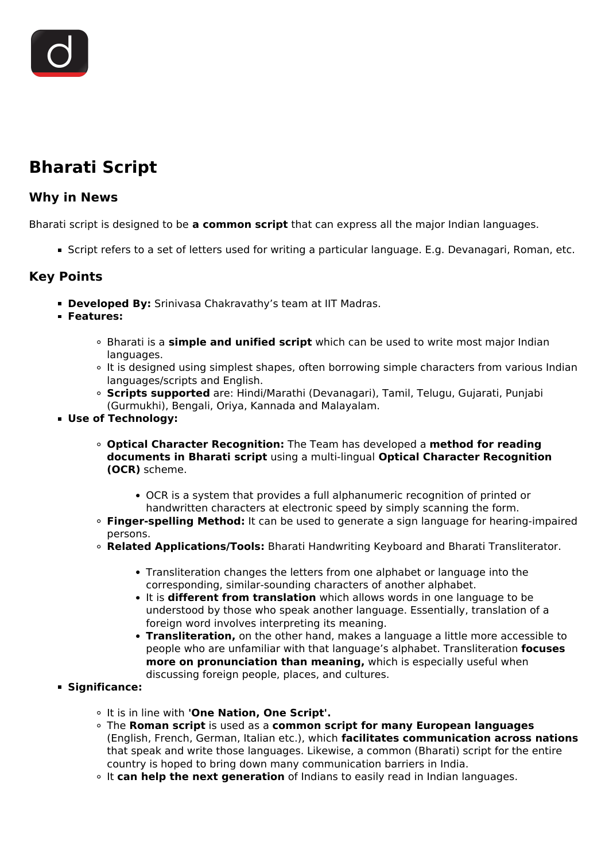# **Bharati Script**

## **Why in News**

Bharati script is designed to be **a common script** that can express all the major Indian languages.

Script refers to a set of letters used for writing a particular language. E.g. Devanagari, Roman, etc.

### **Key Points**

- **Developed By:** Srinivasa Chakravathy's team at IIT Madras.
- **Features:**
	- Bharati is a **simple and unified script** which can be used to write most major Indian languages.
	- It is designed using simplest shapes, often borrowing simple characters from various Indian languages/scripts and English.
	- **Scripts supported** are: Hindi/Marathi (Devanagari), Tamil, Telugu, Gujarati, Punjabi (Gurmukhi), Bengali, Oriya, Kannada and Malayalam.
- **Use of Technology:**
	- **Optical Character Recognition:** The Team has developed a **method for reading documents in Bharati script** using a multi-lingual **Optical Character Recognition (OCR)** scheme.
		- OCR is a system that provides a full alphanumeric recognition of printed or handwritten characters at electronic speed by simply scanning the form.
	- **Finger-spelling Method:** It can be used to generate a sign language for hearing-impaired persons.
	- **Related Applications/Tools:** Bharati Handwriting Keyboard and Bharati Transliterator.
		- Transliteration changes the letters from one alphabet or language into the corresponding, similar-sounding characters of another alphabet.
		- It is **different from translation** which allows words in one language to be understood by those who speak another language. Essentially, translation of a foreign word involves interpreting its meaning.
		- **Transliteration,** on the other hand, makes a language a little more accessible to people who are unfamiliar with that language's alphabet. Transliteration **focuses more on pronunciation than meaning,** which is especially useful when discussing foreign people, places, and cultures.

#### **Significance:**

- It is in line with **'One Nation, One Script'.**
- The **Roman script** is used as a **common script for many European languages** (English, French, German, Italian etc.), which **facilitates communication across nations** that speak and write those languages. Likewise, a common (Bharati) script for the entire country is hoped to bring down many communication barriers in India.
- <sup>o</sup> It can help the next generation of Indians to easily read in Indian languages.